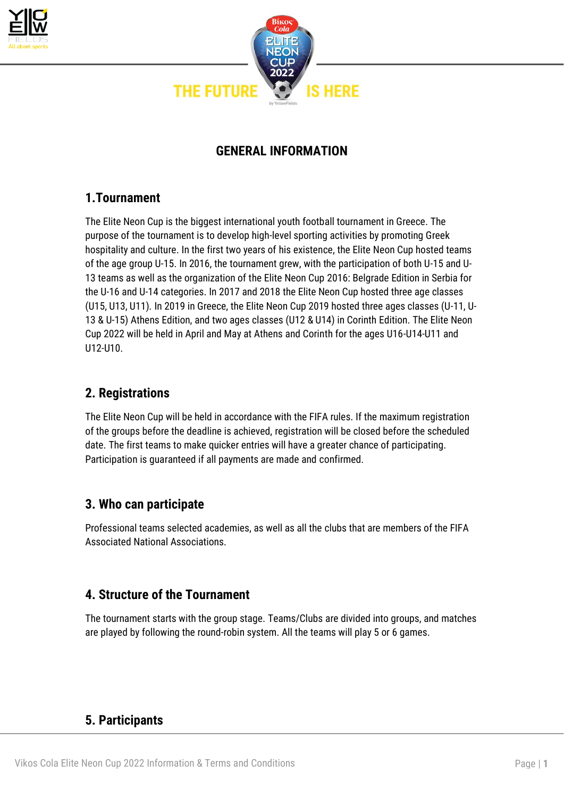



# **GENERAL INFORMATION**

# **1.Tournament**

The Elite Neon Cup is the biggest international youth football tournament in Greece. The purpose of the tournament is to develop high-level sporting activities by promoting Greek hospitality and culture. In the first two years of his existence, the Elite Neon Cup hosted teams of the age group U-15. In 2016, the tournament grew, with the participation of both U-15 and U-13 teams as well as the organization of the Elite Neon Cup 2016: Belgrade Edition in Serbia for the U-16 and U-14 categories. In 2017 and 2018 the Elite Neon Cup hosted three age classes (U15, U13, U11). In 2019 in Greece, the Elite Neon Cup 2019 hosted three ages classes (U-11, U-13 & U-15) Athens Edition, and two ages classes (U12 & U14) in Corinth Edition. The Elite Neon Cup 2022 will be held in April and May at Athens and Corinth for the ages U16-U14-U11 and U12-U10.

# **2. Registrations**

The Elite Neon Cup will be held in accordance with the FIFA rules. If the maximum registration of the groups before the deadline is achieved, registration will be closed before the scheduled date. The first teams to make quicker entries will have a greater chance of participating. Participation is guaranteed if all payments are made and confirmed.

# **3. Who can participate**

Professional teams selected academies, as well as all the clubs that are members of the FIFA Associated National Associations.

# **4. Structure of the Tournament**

The tournament starts with the group stage. Teams/Clubs are divided into groups, and matches are played by following the round-robin system. All the teams will play 5 or 6 games.

# **5. Participants**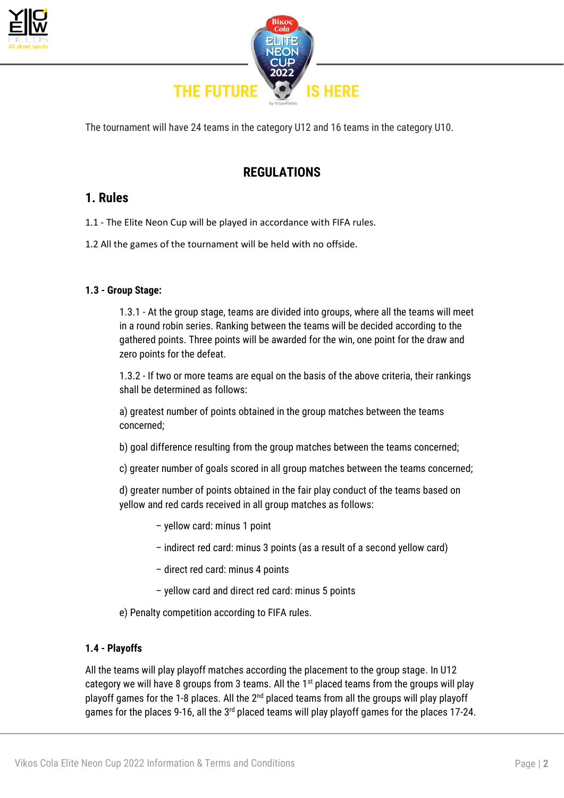



The tournament will have 24 teams in the category U12 and 16 teams in the category U10.

# **REGULATIONS**

# **1. Rules**

- 1.1 The Elite Neon Cup will be played in accordance with FIFA rules.
- 1.2 All the games of the tournament will be held with no offside.

### **1.3 - Group Stage:**

1.3.1 - At the group stage, teams are divided into groups, where all the teams will meet in a round robin series. Ranking between the teams will be decided according to the gathered points. Three points will be awarded for the win, one point for the draw and zero points for the defeat.

1.3.2 - If two or more teams are equal on the basis of the above criteria, their rankings shall be determined as follows:

a) greatest number of points obtained in the group matches between the teams concerned;

b) goal difference resulting from the group matches between the teams concerned;

c) greater number of goals scored in all group matches between the teams concerned;

d) greater number of points obtained in the fair play conduct of the teams based on yellow and red cards received in all group matches as follows:

- yellow card: minus 1 point
- indirect red card: minus 3 points (as a result of a second yellow card)
- direct red card: minus 4 points
- yellow card and direct red card: minus 5 points
- e) Penalty competition according to FIFA rules.

### **1.4 - Playoffs**

All the teams will play playoff matches according the placement to the group stage. In U12 category we will have 8 groups from 3 teams. All the  $1<sup>st</sup>$  placed teams from the groups will play playoff games for the 1-8 places. All the 2<sup>nd</sup> placed teams from all the groups will play playoff games for the places 9-16, all the 3<sup>rd</sup> placed teams will play playoff games for the places 17-24.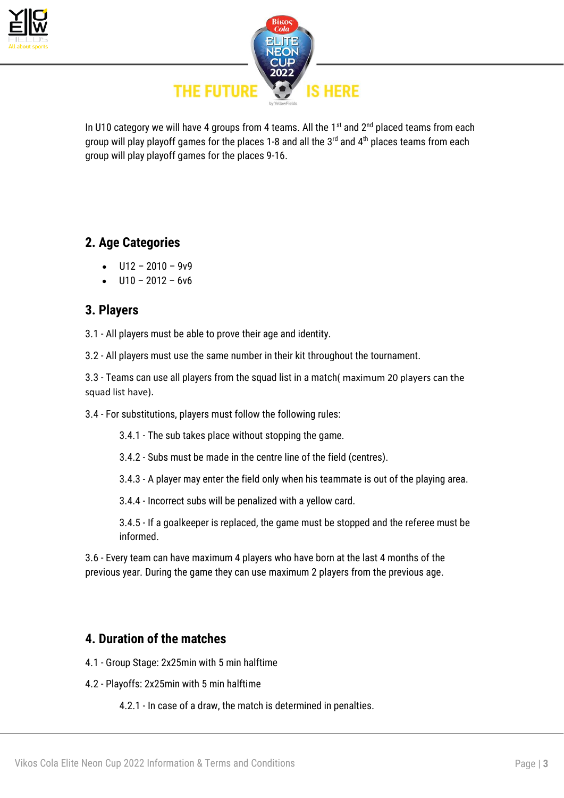



In U10 category we will have 4 groups from 4 teams. All the  $1<sup>st</sup>$  and  $2<sup>nd</sup>$  placed teams from each group will play playoff games for the places 1-8 and all the  $3<sup>rd</sup>$  and  $4<sup>th</sup>$  places teams from each group will play playoff games for the places 9-16.

# **2. Age Categories**

- $U12 2010 9v9$
- $U10 2012 6v6$

### **3. Players**

3.1 - All players must be able to prove their age and identity.

3.2 - All players must use the same number in their kit throughout the tournament.

3.3 - Teams can use all players from the squad list in a match( maximum 20 players can the squad list have).

3.4 - For substitutions, players must follow the following rules:

3.4.1 - The sub takes place without stopping the game.

3.4.2 - Subs must be made in the centre line of the field (centres).

3.4.3 - A player may enter the field only when his teammate is out of the playing area.

3.4.4 - Incorrect subs will be penalized with a yellow card.

3.4.5 - If a goalkeeper is replaced, the game must be stopped and the referee must be informed.

3.6 - Every team can have maximum 4 players who have born at the last 4 months of the previous year. During the game they can use maximum 2 players from the previous age.

## **4. Duration of the matches**

- 4.1 Group Stage: 2x25min with 5 min halftime
- 4.2 Playoffs: 2x25min with 5 min halftime

4.2.1 - In case of a draw, the match is determined in penalties.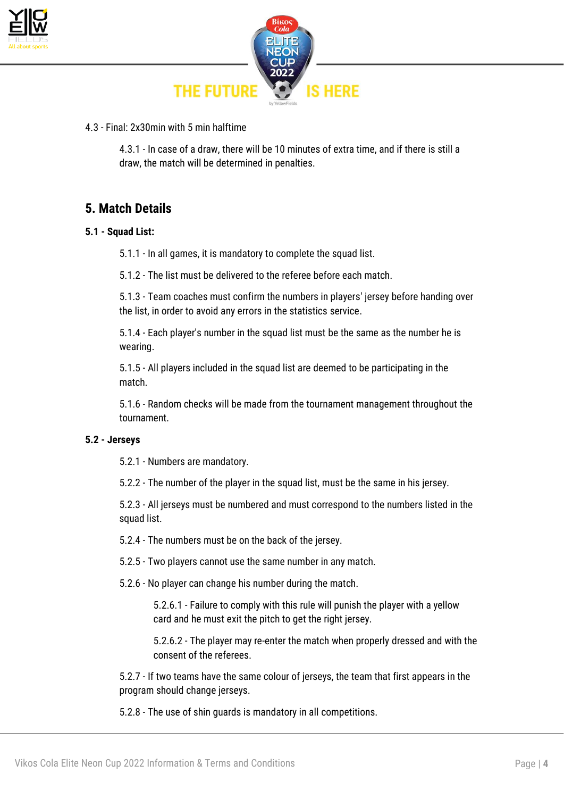



4.3 - Final: 2x30min with 5 min halftime

4.3.1 - In case of a draw, there will be 10 minutes of extra time, and if there is still a draw, the match will be determined in penalties.

### **5. Match Details**

#### **5.1 - Squad List:**

5.1.1 - In all games, it is mandatory to complete the squad list.

5.1.2 - The list must be delivered to the referee before each match.

5.1.3 - Team coaches must confirm the numbers in players' jersey before handing over the list, in order to avoid any errors in the statistics service.

5.1.4 - Each player's number in the squad list must be the same as the number he is wearing.

5.1.5 - All players included in the squad list are deemed to be participating in the match.

5.1.6 - Random checks will be made from the tournament management throughout the tournament.

### **5.2 - Jerseys**

5.2.1 - Numbers are mandatory.

5.2.2 - The number of the player in the squad list, must be the same in his jersey.

5.2.3 - All jerseys must be numbered and must correspond to the numbers listed in the squad list.

5.2.4 - The numbers must be on the back of the jersey.

5.2.5 - Two players cannot use the same number in any match.

5.2.6 - No player can change his number during the match.

5.2.6.1 - Failure to comply with this rule will punish the player with a yellow card and he must exit the pitch to get the right jersey.

5.2.6.2 - The player may re-enter the match when properly dressed and with the consent of the referees.

5.2.7 - If two teams have the same colour of jerseys, the team that first appears in the program should change jerseys.

5.2.8 - The use of shin guards is mandatory in all competitions.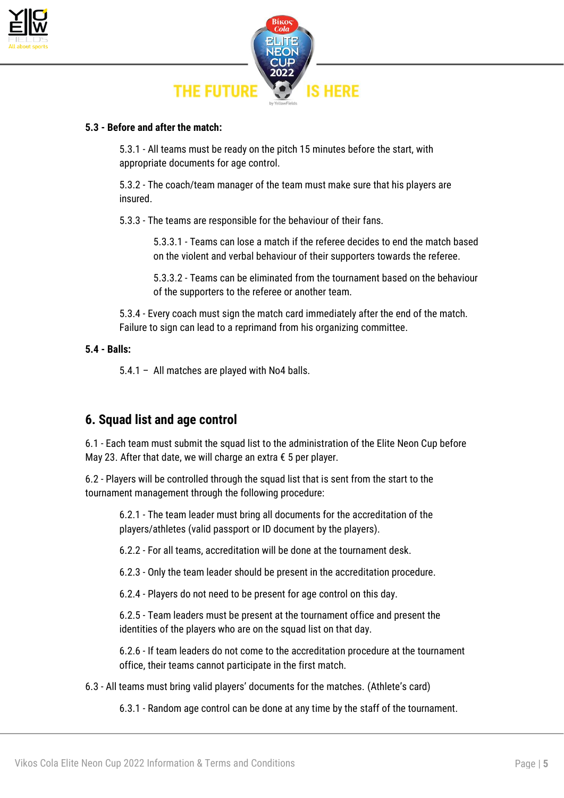



#### **5.3 - Before and after the match:**

5.3.1 - All teams must be ready on the pitch 15 minutes before the start, with appropriate documents for age control.

5.3.2 - The coach/team manager of the team must make sure that his players are insured.

5.3.3 - The teams are responsible for the behaviour of their fans.

5.3.3.1 - Teams can lose a match if the referee decides to end the match based on the violent and verbal behaviour of their supporters towards the referee.

5.3.3.2 - Teams can be eliminated from the tournament based on the behaviour of the supporters to the referee or another team.

5.3.4 - Every coach must sign the match card immediately after the end of the match. Failure to sign can lead to a reprimand from his organizing committee.

#### **5.4 - Balls:**

5.4.1 – All matches are played with No4 balls.

### **6. Squad list and age control**

6.1 - Each team must submit the squad list to the administration of the Elite Neon Cup before Μay 23. After that date, we will charge an extra € 5 per player.

6.2 - Players will be controlled through the squad list that is sent from the start to the tournament management through the following procedure:

6.2.1 - The team leader must bring all documents for the accreditation of the players/athletes (valid passport or ID document by the players).

6.2.2 - For all teams, accreditation will be done at the tournament desk.

6.2.3 - Only the team leader should be present in the accreditation procedure.

6.2.4 - Players do not need to be present for age control on this day.

6.2.5 - Team leaders must be present at the tournament office and present the identities of the players who are on the squad list on that day.

6.2.6 - If team leaders do not come to the accreditation procedure at the tournament office, their teams cannot participate in the first match.

6.3 - All teams must bring valid players' documents for the matches. (Athlete's card)

6.3.1 - Random age control can be done at any time by the staff of the tournament.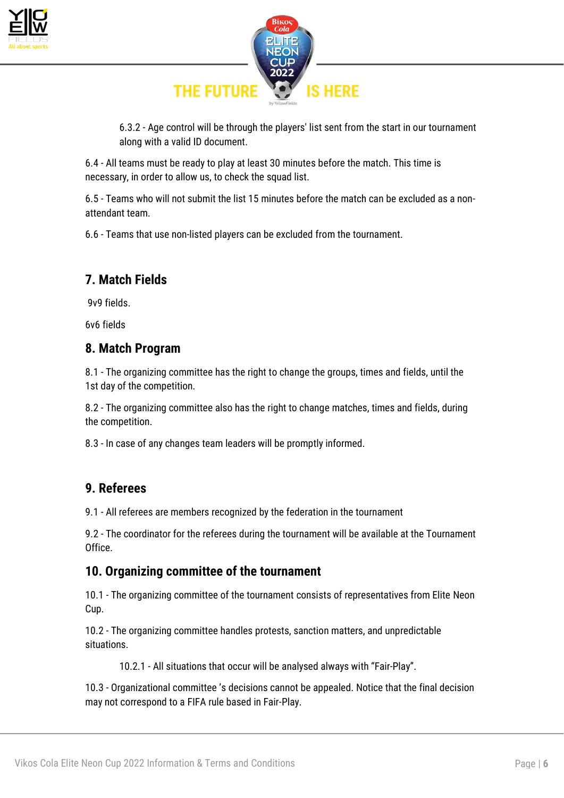



6.3.2 - Age control will be through the players' list sent from the start in our tournament along with a valid ID document.

6.4 - All teams must be ready to play at least 30 minutes before the match. This time is necessary, in order to allow us, to check the squad list.

6.5 - Teams who will not submit the list 15 minutes before the match can be excluded as a nonattendant team.

6.6 - Teams that use non-listed players can be excluded from the tournament.

# **7. Match Fields**

9v9 fields.

6v6 fields

## **8. Match Program**

8.1 - The organizing committee has the right to change the groups, times and fields, until the 1st day of the competition.

8.2 - The organizing committee also has the right to change matches, times and fields, during the competition.

8.3 - In case of any changes team leaders will be promptly informed.

# **9. Referees**

9.1 - All referees are members recognized by the federation in the tournament

9.2 - The coordinator for the referees during the tournament will be available at the Tournament Office.

## **10. Organizing committee of the tournament**

10.1 - The organizing committee of the tournament consists of representatives from Elite Neon Cup.

10.2 - The organizing committee handles protests, sanction matters, and unpredictable situations.

10.2.1 - All situations that occur will be analysed always with "Fair-Play".

10.3 - Organizational committee 's decisions cannot be appealed. Notice that the final decision may not correspond to a FIFA rule based in Fair-Play.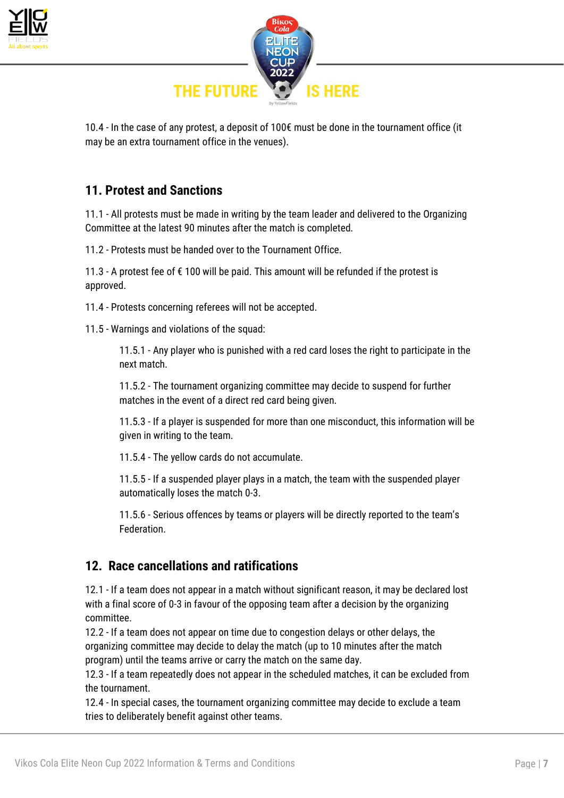



10.4 - In the case of any protest, a deposit of 100€ must be done in the tournament office (it may be an extra tournament office in the venues).

## **11. Protest and Sanctions**

11.1 - All protests must be made in writing by the team leader and delivered to the Organizing Committee at the latest 90 minutes after the match is completed.

11.2 - Protests must be handed over to the Tournament Office.

11.3 - A protest fee of € 100 will be paid. This amount will be refunded if the protest is approved.

11.4 - Protests concerning referees will not be accepted.

11.5 - Warnings and violations of the squad:

11.5.1 - Any player who is punished with a red card loses the right to participate in the next match.

11.5.2 - The tournament organizing committee may decide to suspend for further matches in the event of a direct red card being given.

11.5.3 - If a player is suspended for more than one misconduct, this information will be given in writing to the team.

11.5.4 - The yellow cards do not accumulate.

11.5.5 - If a suspended player plays in a match, the team with the suspended player automatically loses the match 0-3.

11.5.6 - Serious offences by teams or players will be directly reported to the team's Federation.

### **12. Race cancellations and ratifications**

12.1 - If a team does not appear in a match without significant reason, it may be declared lost with a final score of 0-3 in favour of the opposing team after a decision by the organizing committee.

12.2 - If a team does not appear on time due to congestion delays or other delays, the organizing committee may decide to delay the match (up to 10 minutes after the match program) until the teams arrive or carry the match on the same day.

12.3 - If a team repeatedly does not appear in the scheduled matches, it can be excluded from the tournament.

12.4 - In special cases, the tournament organizing committee may decide to exclude a team tries to deliberately benefit against other teams.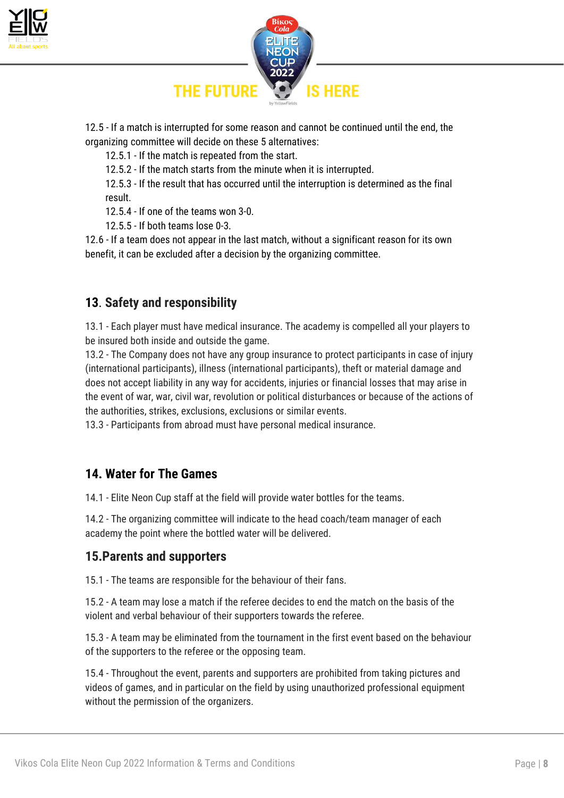



12.5 - If a match is interrupted for some reason and cannot be continued until the end, the organizing committee will decide on these 5 alternatives:

12.5.1 - If the match is repeated from the start.

12.5.2 - If the match starts from the minute when it is interrupted.

12.5.3 - If the result that has occurred until the interruption is determined as the final result.

12.5.4 - If one of the teams won 3-0.

12.5.5 - If both teams lose 0-3.

12.6 - If a team does not appear in the last match, without a significant reason for its own benefit, it can be excluded after a decision by the organizing committee.

## **13**. **Safety and responsibility**

13.1 - Each player must have medical insurance. The academy is compelled all your players to be insured both inside and outside the game.

13.2 - The Company does not have any group insurance to protect participants in case of injury (international participants), illness (international participants), theft or material damage and does not accept liability in any way for accidents, injuries or financial losses that may arise in the event of war, war, civil war, revolution or political disturbances or because of the actions of the authorities, strikes, exclusions, exclusions or similar events.

13.3 - Participants from abroad must have personal medical insurance.

## **14. Water for The Games**

14.1 - Elite Neon Cup staff at the field will provide water bottles for the teams.

14.2 - The organizing committee will indicate to the head coach/team manager of each academy the point where the bottled water will be delivered.

### **15.Parents and supporters**

15.1 - The teams are responsible for the behaviour of their fans.

15.2 - A team may lose a match if the referee decides to end the match on the basis of the violent and verbal behaviour of their supporters towards the referee.

15.3 - A team may be eliminated from the tournament in the first event based on the behaviour of the supporters to the referee or the opposing team.

15.4 - Throughout the event, parents and supporters are prohibited from taking pictures and videos of games, and in particular on the field by using unauthorized professional equipment without the permission of the organizers.